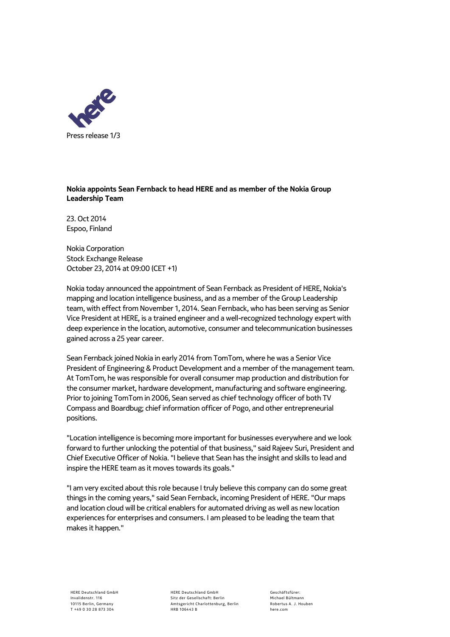

## **Nokia appoints Sean Fernback to head HERE and as member of the Nokia Group Leadership Team**

23. Oct 2014 Espoo, Finland

Nokia Corporation Stock Exchange Release October 23, 2014 at 09:00 (CET +1)

Nokia today announced the appointment of Sean Fernback as President of HERE, Nokia's mapping and location intelligence business, and as a member of the Group Leadership team, with effect from November 1, 2014. Sean Fernback, who has been serving as Senior Vice President at HERE, is a trained engineer and a well-recognized technology expert with deep experience in the location, automotive, consumer and telecommunication businesses gained across a 25 year career.

Sean Fernback joined Nokia in early 2014 from TomTom, where he was a Senior Vice President of Engineering & Product Development and a member of the management team. At TomTom, he was responsible for overall consumer map production and distribution for the consumer market, hardware development, manufacturing and software engineering. Prior to joining TomTom in 2006, Sean served as chief technology officer of both TV Compass and Boardbug; chief information officer of Pogo, and other entrepreneurial positions.

"Location intelligence is becoming more important for businesses everywhere and we look forward to further unlocking the potential of that business," said Rajeev Suri, President and Chief Executive Officer of Nokia. "I believe that Sean has the insight and skills to lead and inspire the HERE team as it moves towards its goals."

"I am very excited about this role because I truly believe this company can do some great things in the coming years," said Sean Fernback, incoming President of HERE. "Our maps and location cloud will be critical enablers for automated driving as well as new location experiences for enterprises and consumers. I am pleased to be leading the team that makes it happen."

HERE Deutschland GmbH Sitz der Gesellschaft: Berlin Amtsgericht Charlottenburg, Berlin HRB 106443 B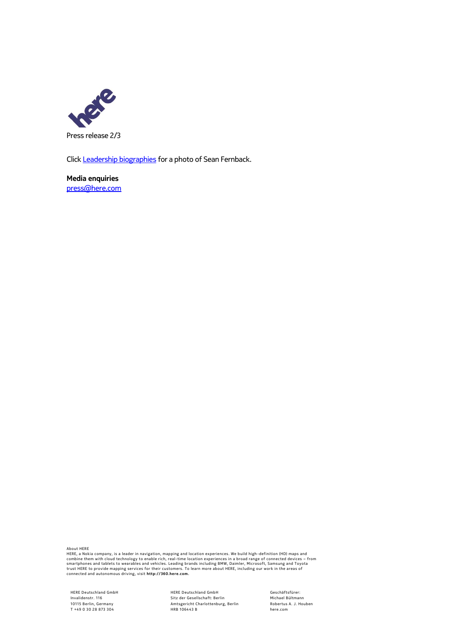

Clic[k Leadership biographies](https://company.here.com/en/newsroom/leadership-biographies/) for a photo of Sean Fernback.

**Media enquiries** [press@here.com](mailto:press@here.com)

About HERE<br>HERE, a Nokia company, is a leader in navigation, mapping and location experiences. We build high-definition (HD) maps and<br>combine them with cloud technology to enable rich, real-time location experiences in a b

HERE Deutschland GmbH Invalidenstr. 116 10115 B erlin, Germany T +49 0 30 28 873 304

HERE Deutschland GmbH Sitz der Gesellschaft: Berlin<br>Amtsgericht Charlottenburg, Berlin HRB 106443 B

Geschäftsfürer: Michael Bültmann Robertus A. J. Houben here.com